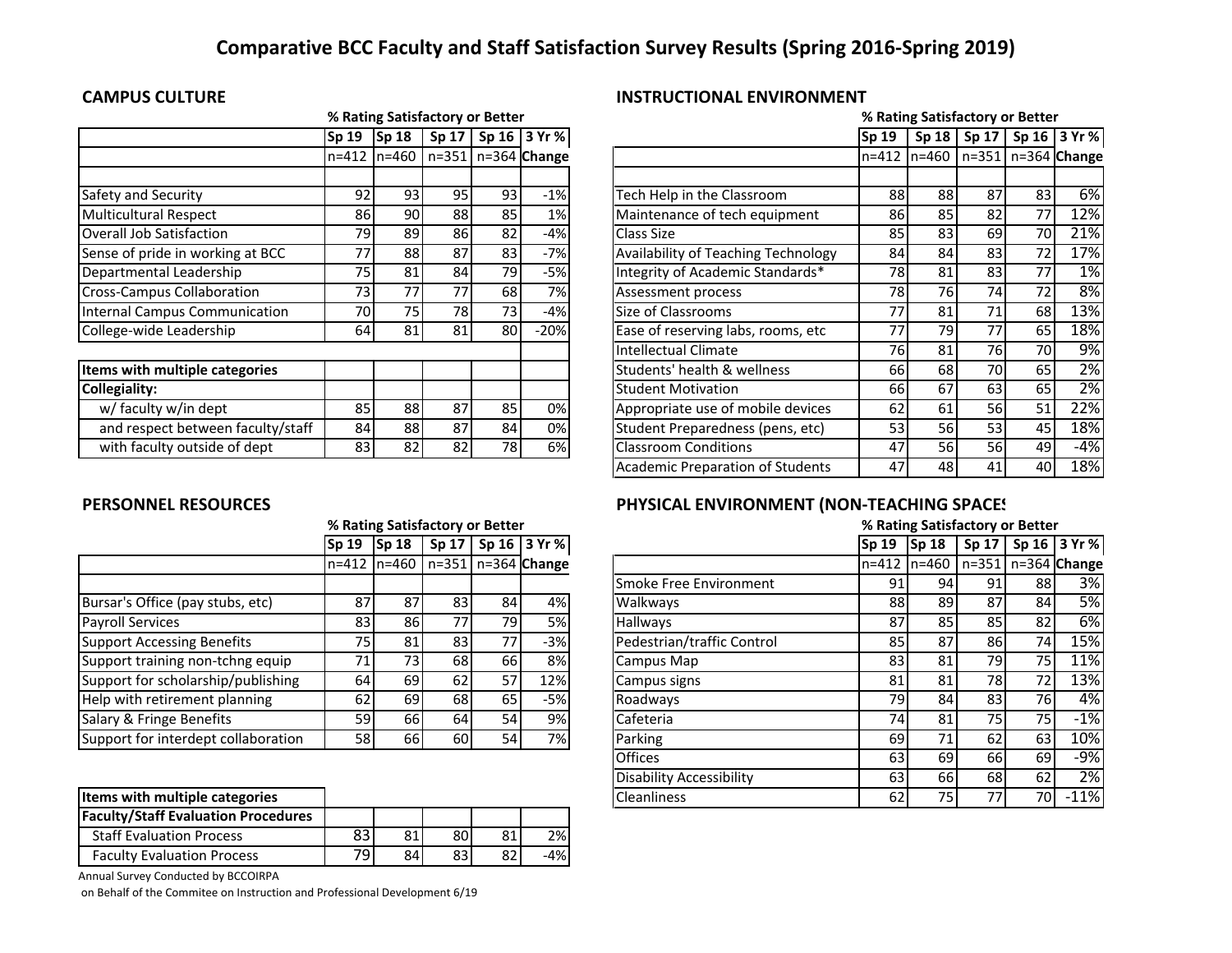# **Comparative BCC Faculty and Staff Satisfaction Survey Results (Spring 2016‐Spring 2019)**

|                                   |       | % Rating Satisfactory or Better |                 |    |                      |                                     |       |                                    | % Rating Satisfactory or Better |              |       |
|-----------------------------------|-------|---------------------------------|-----------------|----|----------------------|-------------------------------------|-------|------------------------------------|---------------------------------|--------------|-------|
|                                   | Sp 19 | Sp <sub>18</sub>                | Sp 17           |    | Sp 16 3 Yr %         |                                     | Sp 19 |                                    | Sp 18   Sp 17                   | Sp 16 3 Yr % |       |
|                                   |       | $n = 412$ $n = 460$             |                 |    | $n=351$ n=364 Change |                                     |       | n=412 n=460   n=351   n=364 Change |                                 |              |       |
|                                   |       |                                 |                 |    |                      |                                     |       |                                    |                                 |              |       |
| Safety and Security               | 92    | 93                              | 95 <sub>1</sub> | 93 | $-1%$                | Tech Help in the Classroom          | 88    | 88                                 | 87                              | 83           | 6%    |
| <b>Multicultural Respect</b>      | 86    | 90                              | 88              | 85 | 1%                   | Maintenance of tech equipment       | 86    | 85                                 | 82                              | 77           | 12%   |
| Overall Job Satisfaction          | 79    | 89                              | 86              | 82 | -4%                  | Class Size                          | 85    | 83                                 | 69                              | 70           | 21%   |
| Sense of pride in working at BCC  | 77    | 88                              | 87              | 83 | -7%                  | Availability of Teaching Technology | 84    | 84                                 | 83                              | 72           | 17%   |
| Departmental Leadership           | 75    | 81                              | 84              | 79 | $-5%$                | Integrity of Academic Standards*    | 78    | 81                                 | 83                              | 77           | 1%    |
| <b>Cross-Campus Collaboration</b> | 73    | 77                              | 77              | 68 | 7%                   | Assessment process                  | 78    | 76                                 | 74                              | 72           | 8%    |
| Internal Campus Communication     | 70    | 75                              | 78              | 73 | $-4%$                | Size of Classrooms                  | 77    | 81                                 | 71                              | 68           | 13%   |
| College-wide Leadership           | 64    | 81                              | 81              | 80 | $-20%$               | Ease of reserving labs, rooms, etc  | 77    | 79                                 | 77                              | 65           | 18%   |
|                                   |       |                                 |                 |    |                      | Intellectual Climate                | 761   | 81                                 | 76I                             | 70           | 9%    |
| Items with multiple categories    |       |                                 |                 |    |                      | Students' health & wellness         | 66 l  | 68                                 | 70I                             | 65           | 2%    |
| Collegiality:                     |       |                                 |                 |    |                      | <b>Student Motivation</b>           | 66 l  | 67                                 | 63                              | 65           | 2%    |
| w/ faculty w/in dept              | 85    | 88                              | 87              | 85 | 0%                   | Appropriate use of mobile devices   | 62    | 61                                 | 56I                             | 51           | 22%   |
| and respect between faculty/staff | 84    | 88                              | 87              | 84 | 0%                   | Student Preparedness (pens, etc)    | 53    | <b>56</b>                          | 53                              | 45           | 18%   |
| with faculty outside of dept      | 83    | 82                              | 82              | 78 | 6%                   | <b>Classroom Conditions</b>         | 47    | 56 I                               | 56I                             | 49           | $-4%$ |

## **CAMPUS CULTURE INSTRUCTIONAL ENVIRONMENT**

|       | % Rating Satisfactory or Better |       |    |                      |                                            |              |          |    | % Rating Satisfactory or Better |                        |
|-------|---------------------------------|-------|----|----------------------|--------------------------------------------|--------------|----------|----|---------------------------------|------------------------|
| Sp 19 | <b>Sp 18</b>                    | Sp 17 |    | Sp 16 3 Yr %         |                                            | <b>Sp 19</b> | Sp 18    |    |                                 | Sp 17   Sp 16   3 Yr % |
|       | n=412 In=460 I                  |       |    | $n=351$ n=364 Change |                                            | $n = 412$    | $ln=460$ |    |                                 | $n=351$ n=364 Change   |
|       |                                 |       |    |                      |                                            |              |          |    |                                 |                        |
| 92    | 93                              | 95    | 93 | $-1%$                | Tech Help in the Classroom                 | 88           | 88       | 87 | 83                              | 6%                     |
| 86    | 90                              | 88    | 85 | 1%                   | Maintenance of tech equipment              | 86           | 85       | 82 | 77                              | 12%                    |
| 79    | 89                              | 86    | 82 | $-4%$                | Class Size                                 | 85           | 83       | 69 | 70                              | 21%                    |
| 77    | 88                              | 87    | 83 | $-7%$                | <b>Availability of Teaching Technology</b> | 84           | 84       | 83 | 72                              | 17%                    |
| 75    | 81                              | 84    | 79 | $-5%$                | Integrity of Academic Standards*           | 78           | 81       | 83 | 77                              | 1%                     |
| 73    | 77                              | 77    | 68 | 7%                   | Assessment process                         | 78           | 76       | 74 | 72                              | 8%                     |
| 70    | 75                              | 78    | 73 | $-4%$                | Size of Classrooms                         | 77           | 81       | 71 | 68                              | 13%                    |
| 64    | 81                              | 81    | 80 | $-20%$               | Ease of reserving labs, rooms, etc         | 77           | 79       | 77 | 65                              | 18%                    |
|       |                                 |       |    |                      | <b>Intellectual Climate</b>                | 76           | 81       | 76 | 70                              | 9%                     |
|       |                                 |       |    |                      | Students' health & wellness                | 66           | 68       | 70 | 65                              | $\overline{2\%}$       |
|       |                                 |       |    |                      | <b>Student Motivation</b>                  | 66           | 67       | 63 | 65                              | 2%                     |
| 85    | 88                              | 87    | 85 | 0%                   | Appropriate use of mobile devices          | 62           | 61       | 56 | 51                              | 22%                    |
| 84    | 88                              | 87    | 84 | 0%                   | Student Preparedness (pens, etc)           | 53           | 56       | 53 | 45                              | 18%                    |
| 83    | 82                              | 82    | 78 | 6%                   | <b>Classroom Conditions</b>                | 47           | 56       | 56 | 49                              | -4%                    |
|       |                                 |       |    |                      | <b>Academic Preparation of Students</b>    | 47           | 48       | 41 | 40                              | 18%                    |

|                                     |    | % Rating Satisfactory or Better |                 |    |                                       |                            |    |               |                 | % Rating Satisfactory or Better |
|-------------------------------------|----|---------------------------------|-----------------|----|---------------------------------------|----------------------------|----|---------------|-----------------|---------------------------------|
|                                     |    | $\sqrt{5p} 19$ $\sqrt{5p} 18$   |                 |    | Sp 17   Sp 16   3 $Yr$ %              |                            |    | $Sp 19$ Sp 18 |                 | $Sp 17$ Sp 16                   |
|                                     |    |                                 |                 |    | n=412  n=460   n=351   n=364   Change |                            |    |               |                 | n=412 In=460 In=351 In=364 I    |
|                                     |    |                                 |                 |    |                                       | Smoke Free Environment     | 91 | 94            | 91 <sub>1</sub> | 88                              |
| Bursar's Office (pay stubs, etc)    | 87 | 87                              | 83              | 84 | 4%                                    | Walkways                   | 88 | 89            | 87              | 84                              |
| <b>Payroll Services</b>             | 83 | 86                              | 77 <sub>1</sub> | 79 | <b>5%</b>                             | <b>Hallways</b>            | 87 | 85            | 85              | 82                              |
| <b>Support Accessing Benefits</b>   | 75 | 81                              | 83              |    | $-3%$                                 | Pedestrian/traffic Control | 85 | 87            | 86              | 74                              |
| Support training non-tchng equip    | 71 | 73                              | 68              | 66 | 8%                                    | Campus Map                 | 83 | 81            | 79              | 75                              |
| Support for scholarship/publishing  | 64 | 69                              | 62              | 57 | 12%                                   | Campus signs               | 81 | 81            | 78I             | 72                              |
| Help with retirement planning       | 62 | 69                              | 68              | 65 | $-5%$                                 | Roadways                   | 79 | 84            | 83              | 76                              |
| Salary & Fringe Benefits            | 59 | 66 I                            | 64              | 54 | 9%                                    | Cafeteria                  | 74 | 81            | 75I             | 75 <sub>l</sub>                 |
| Support for interdept collaboration | 58 | 66                              | 60              | 54 | 7%                                    | Parking                    | 69 | 71            | 62              | 63                              |

| Items with multiple categories             |    |    |    |    |       |
|--------------------------------------------|----|----|----|----|-------|
| <b>Faculty/Staff Evaluation Procedures</b> |    |    |    |    |       |
| <b>Staff Evaluation Process</b>            |    | 81 | 80 | 81 | 2%    |
| <b>Faculty Evaluation Process</b>          | 70 | 84 | 83 | ໐າ | $-4%$ |

Annual Survey Conducted by BCCOIRPA

on Behalf of the Commitee on Instruction and Professional Development 6/19

### **PERSONNEL RESOURCES PHYSICAL ENVIRONMENT (NON‐TEACHING SPACE S**

|                                       |     | % Rating Satisfactory or Better |    |    |                                       |                                 |      | % Rating Satisfactory or Better |     |     |                                                    |
|---------------------------------------|-----|---------------------------------|----|----|---------------------------------------|---------------------------------|------|---------------------------------|-----|-----|----------------------------------------------------|
|                                       |     |                                 |    |    | Sp 19  Sp 18   Sp 17   Sp 16   3 Yr % |                                 |      |                                 |     |     | $ $ Sp 19 $ $ Sp 18 $ $ Sp 17 $ $ Sp 16 $ $ 3 Yr % |
|                                       |     |                                 |    |    | n=412 n=460   n=351   n=364 Change    |                                 |      |                                 |     |     | n=412  n=460   n=351   n=364   Change              |
|                                       |     |                                 |    |    |                                       | <b>I</b> Smoke Free Environment | 91   | 94                              | 91  | 881 | 3%I                                                |
| Bursar's Office (pay stubs, etc)      | 87  | 87                              | 83 | 84 | 4%                                    | <b>Walkways</b>                 | 88   | 89                              | 87  | 84  | <b>5%</b>                                          |
| Payroll Services                      | 831 | 861                             | 77 | 79 | 5%                                    | <b>Hallways</b>                 | 87   | 85                              | 85  | 82I | 6%                                                 |
| <b>Support Accessing Benefits</b>     | 75  | 81                              | 83 | 77 | $-3%$                                 | Pedestrian/traffic Control      | 85   | 87                              | 86  | 74  | 15%                                                |
| Support training non-tchng equip      | 71  | 73 <sub>l</sub>                 | 68 | 66 | 8%                                    | Campus Map                      | 83   | 81                              | 791 | 75I | 11%                                                |
| Support for scholarship/publishing    | 64  | 69                              | 62 | 57 | 12%                                   | Campus signs                    | 81   | 81                              | 78  | 72  | 13%                                                |
| Help with retirement planning         | 62  | 69                              | 68 | 65 | $-5%$                                 | Roadways                        | 79 I | 84                              | 83  | 76I | 4%                                                 |
| Salary & Fringe Benefits              | 591 | 66I                             | 64 | 54 | 9%                                    | Cafeteria                       | 74 I | 81                              | 75I | 75I | $-1%$                                              |
| Support for interdept collaboration   | 58  | 66                              | 60 | 54 | 7%                                    | Parking                         | 69   | 71                              | 62  | 63  | 10%                                                |
|                                       |     |                                 |    |    |                                       | <b>Offices</b>                  | 63   | 69                              | 66I | 69  | $-9%$                                              |
|                                       |     |                                 |    |    |                                       | <b>Disability Accessibility</b> | 63   | 66                              | 68  | 62  | 2%                                                 |
| <b>Items with multiple categories</b> |     |                                 |    |    |                                       | <b>Cleanliness</b>              | 62   | 75                              | 77  | 70I | $-11%$                                             |
|                                       |     |                                 |    |    |                                       |                                 |      |                                 |     |     |                                                    |